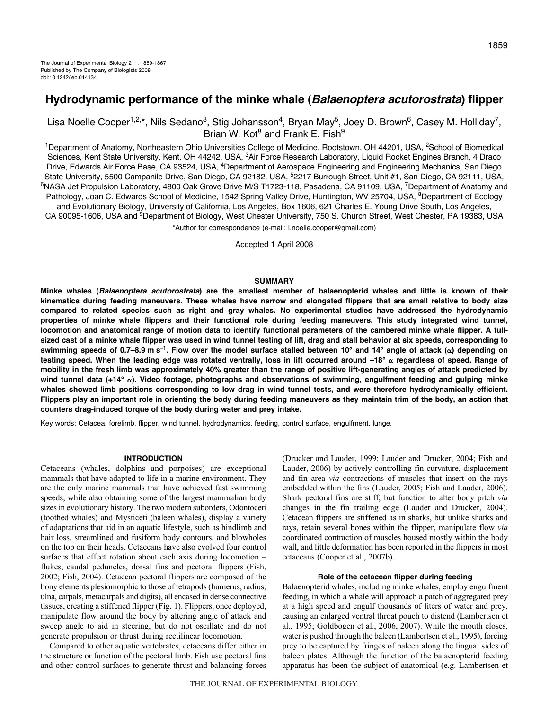# **Hydrodynamic performance of the minke whale (Balaenoptera acutorostrata) flipper**

Lisa Noelle Cooper<sup>1,2,\*</sup>, Nils Sedano<sup>3</sup>, Stig Johansson<sup>4</sup>, Bryan May<sup>5</sup>, Joey D. Brown<sup>6</sup>, Casey M. Holliday<sup>7</sup>, Brian W. Kot $^8$  and Frank E. Fish $^9$ 

<sup>1</sup>Department of Anatomy, Northeastern Ohio Universities College of Medicine, Rootstown, OH 44201, USA, <sup>2</sup>School of Biomedical Sciences, Kent State University, Kent, OH 44242, USA, <sup>3</sup>Air Force Research Laboratory, Liquid Rocket Engines Branch, 4 Draco Drive, Edwards Air Force Base, CA 93524, USA, <sup>4</sup>Department of Aerospace Engineering and Engineering Mechanics, San Diego State University, 5500 Campanile Drive, San Diego, CA 92182, USA, <sup>5</sup>2217 Burrough Street, Unit #1, San Diego, CA 92111, USA, <sup>6</sup>NASA Jet Propulsion Laboratory, 4800 Oak Grove Drive M/S T1723-118, Pasadena, CA 91109, USA, <sup>7</sup>Department of Anatomy and Pathology, Joan C. Edwards School of Medicine, 1542 Spring Valley Drive, Huntington, WV 25704, USA, <sup>8</sup>Department of Ecology and Evolutionary Biology, University of California, Los Angeles, Box 1606, 621 Charles E. Young Drive South, Los Angeles, CA 90095-1606, USA and 9Department of Biology, West Chester University, 750 S. Church Street, West Chester, PA 19383, USA

\*Author for correspondence (e-mail: l.noelle.cooper@gmail.com)

Accepted 1 April 2008

#### **SUMMARY**

**Minke whales (Balaenoptera acutorostrata) are the smallest member of balaenopterid whales and little is known of their kinematics during feeding maneuvers. These whales have narrow and elongated flippers that are small relative to body size compared to related species such as right and gray whales. No experimental studies have addressed the hydrodynamic properties of minke whale flippers and their functional role during feeding maneuvers. This study integrated wind tunnel, locomotion and anatomical range of motion data to identify functional parameters of the cambered minke whale flipper. A fullsized cast of a minke whale flipper was used in wind tunnel testing of lift, drag and stall behavior at six speeds, corresponding to** swimming speeds of 0.7–8.9 m s<sup>-1</sup>. Flow over the model surface stalled between 10° and 14° angle of attack (α) depending on testing speed. When the leading edge was rotated ventrally, loss in lift occurred around –18° α regardless of speed. Range of **mobility in the fresh limb was approximately 40% greater than the range of positive lift-generating angles of attack predicted by** wind tunnel data (+14° α). Video footage, photographs and observations of swimming, engulfment feeding and gulping minke **whales showed limb positions corresponding to low drag in wind tunnel tests, and were therefore hydrodynamically efficient. Flippers play an important role in orienting the body during feeding maneuvers as they maintain trim of the body, an action that counters drag-induced torque of the body during water and prey intake.**

Key words: Cetacea, forelimb, flipper, wind tunnel, hydrodynamics, feeding, control surface, engulfment, lunge.

## **INTRODUCTION**

Cetaceans (whales, dolphins and porpoises) are exceptional mammals that have adapted to life in a marine environment. They are the only marine mammals that have achieved fast swimming speeds, while also obtaining some of the largest mammalian body sizes in evolutionary history. The two modern suborders, Odontoceti (toothed whales) and Mysticeti (baleen whales), display a variety of adaptations that aid in an aquatic lifestyle, such as hindlimb and hair loss, streamlined and fusiform body contours, and blowholes on the top on their heads. Cetaceans have also evolved four control surfaces that effect rotation about each axis during locomotion – flukes, caudal peduncles, dorsal fins and pectoral flippers (Fish, 2002; Fish, 2004). Cetacean pectoral flippers are composed of the bony elements plesiomorphic to those of tetrapods (humerus, radius, ulna, carpals, metacarpals and digits), all encased in dense connective tissues, creating a stiffened flipper (Fig. 1). Flippers, once deployed, manipulate flow around the body by altering angle of attack and sweep angle to aid in steering, but do not oscillate and do not generate propulsion or thrust during rectilinear locomotion.

Compared to other aquatic vertebrates, cetaceans differ either in the structure or function of the pectoral limb. Fish use pectoral fins and other control surfaces to generate thrust and balancing forces (Drucker and Lauder, 1999; Lauder and Drucker, 2004; Fish and Lauder, 2006) by actively controlling fin curvature, displacement and fin area *via* contractions of muscles that insert on the rays embedded within the fins (Lauder, 2005; Fish and Lauder, 2006). Shark pectoral fins are stiff, but function to alter body pitch *via* changes in the fin trailing edge (Lauder and Drucker, 2004). Cetacean flippers are stiffened as in sharks, but unlike sharks and rays, retain several bones within the flipper, manipulate flow *via* coordinated contraction of muscles housed mostly within the body wall, and little deformation has been reported in the flippers in most cetaceans (Cooper et al., 2007b).

## **Role of the cetacean flipper during feeding**

Balaenopterid whales, including minke whales, employ engulfment feeding, in which a whale will approach a patch of aggregated prey at a high speed and engulf thousands of liters of water and prey, causing an enlarged ventral throat pouch to distend (Lambertsen et al., 1995; Goldbogen et al., 2006, 2007). While the mouth closes, water is pushed through the baleen (Lambertsen et al., 1995), forcing prey to be captured by fringes of baleen along the lingual sides of baleen plates. Although the function of the balaenopterid feeding apparatus has been the subject of anatomical (e.g. Lambertsen et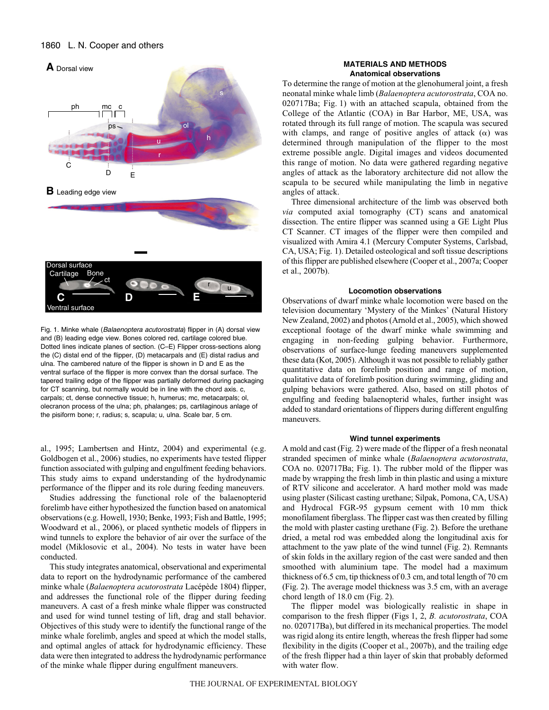## 1860 L. N. Cooper and others



Fig. 1. Minke whale (Balaenoptera acutorostrata) flipper in (A) dorsal view and (B) leading edge view. Bones colored red, cartilage colored blue. Dotted lines indicate planes of section. (C–E) Flipper cross-sections along the (C) distal end of the flipper, (D) metacarpals and (E) distal radius and ulna. The cambered nature of the flipper is shown in D and E as the ventral surface of the flipper is more convex than the dorsal surface. The tapered trailing edge of the flipper was partially deformed during packaging for CT scanning, but normally would be in line with the chord axis. c, carpals; ct, dense connective tissue; h, humerus; mc, metacarpals; ol, olecranon process of the ulna; ph, phalanges; ps, cartilaginous anlage of the pisiform bone; r, radius; s, scapula; u, ulna. Scale bar, 5 cm.

al., 1995; Lambertsen and Hintz, 2004) and experimental (e.g. Goldbogen et al., 2006) studies, no experiments have tested flipper function associated with gulping and engulfment feeding behaviors. This study aims to expand understanding of the hydrodynamic performance of the flipper and its role during feeding maneuvers.

Studies addressing the functional role of the balaenopterid forelimb have either hypothesized the function based on anatomical observations (e.g. Howell, 1930; Benke, 1993; Fish and Battle, 1995; Woodward et al., 2006), or placed synthetic models of flippers in wind tunnels to explore the behavior of air over the surface of the model (Miklosovic et al., 2004). No tests in water have been conducted.

This study integrates anatomical, observational and experimental data to report on the hydrodynamic performance of the cambered minke whale (*Balaenoptera acutorostrata* Lacépède 1804) flipper, and addresses the functional role of the flipper during feeding maneuvers. A cast of a fresh minke whale flipper was constructed and used for wind tunnel testing of lift, drag and stall behavior. Objectives of this study were to identify the functional range of the minke whale forelimb, angles and speed at which the model stalls, and optimal angles of attack for hydrodynamic efficiency. These data were then integrated to address the hydrodynamic performance of the minke whale flipper during engulfment maneuvers.

## **MATERIALS AND METHODS Anatomical observations**

To determine the range of motion at the glenohumeral joint, a fresh neonatal minke whale limb (*Balaenoptera acutorostrata*, COA no. 020717Ba; Fig. 1) with an attached scapula, obtained from the College of the Atlantic (COA) in Bar Harbor, ME, USA, was rotated through its full range of motion. The scapula was secured with clamps, and range of positive angles of attack  $(\alpha)$  was determined through manipulation of the flipper to the most extreme possible angle. Digital images and videos documented this range of motion. No data were gathered regarding negative angles of attack as the laboratory architecture did not allow the scapula to be secured while manipulating the limb in negative angles of attack.

Three dimensional architecture of the limb was observed both *via* computed axial tomography (CT) scans and anatomical dissection. The entire flipper was scanned using a GE Light Plus CT Scanner. CT images of the flipper were then compiled and visualized with Amira 4.1 (Mercury Computer Systems, Carlsbad, CA, USA; Fig. 1). Detailed osteological and soft tissue descriptions of this flipper are published elsewhere (Cooper et al., 2007a; Cooper et al., 2007b).

## **Locomotion observations**

Observations of dwarf minke whale locomotion were based on the television documentary 'Mystery of the Minkes' (Natural History New Zealand, 2002) and photos (Arnold et al., 2005), which showed exceptional footage of the dwarf minke whale swimming and engaging in non-feeding gulping behavior. Furthermore, observations of surface-lunge feeding maneuvers supplemented these data (Kot, 2005). Although it was not possible to reliably gather quantitative data on forelimb position and range of motion, qualitative data of forelimb position during swimming, gliding and gulping behaviors were gathered. Also, based on still photos of engulfing and feeding balaenopterid whales, further insight was added to standard orientations of flippers during different engulfing maneuvers.

## **Wind tunnel experiments**

A mold and cast (Fig. 2) were made of the flipper of a fresh neonatal stranded specimen of minke whale (*Balaenoptera acutorostrata*, COA no. 020717Ba; Fig. 1). The rubber mold of the flipper was made by wrapping the fresh limb in thin plastic and using a mixture of RTV silicone and accelerator. A hard mother mold was made using plaster (Silicast casting urethane; Silpak, Pomona, CA, USA) and Hydrocal FGR-95 gypsum cement with 10 mm thick monofilament fiberglass. The flipper cast was then created by filling the mold with plaster casting urethane (Fig. 2). Before the urethane dried, a metal rod was embedded along the longitudinal axis for attachment to the yaw plate of the wind tunnel (Fig. 2). Remnants of skin folds in the axillary region of the cast were sanded and then smoothed with aluminium tape. The model had a maximum thickness of 6.5 cm, tip thickness of 0.3 cm, and total length of 70 cm (Fig. 2). The average model thickness was 3.5 cm, with an average chord length of  $18.0 \text{ cm}$  (Fig. 2).

The flipper model was biologically realistic in shape in comparison to the fresh flipper (Figs·1, 2, *B. acutorostrata*, COA no. 020717Ba), but differed in its mechanical properties. The model was rigid along its entire length, whereas the fresh flipper had some flexibility in the digits (Cooper et al., 2007b), and the trailing edge of the fresh flipper had a thin layer of skin that probably deformed with water flow.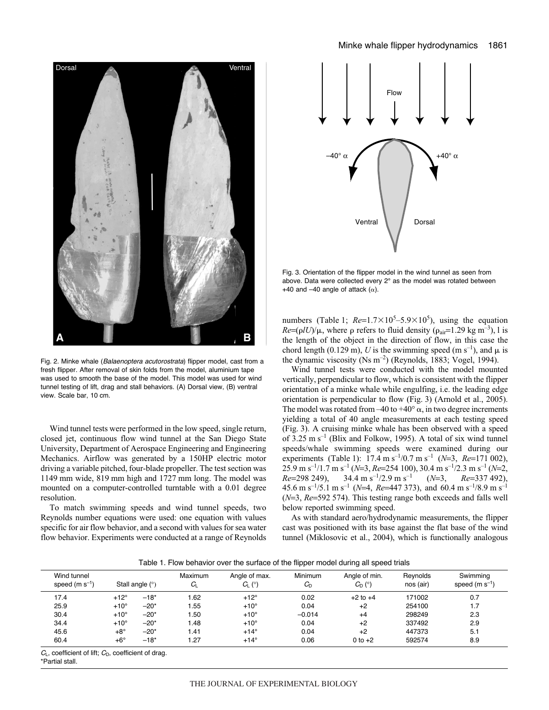

Fig. 2. Minke whale (Balaenoptera acutorostrata) flipper model, cast from a fresh flipper. After removal of skin folds from the model, aluminium tape was used to smooth the base of the model. This model was used for wind tunnel testing of lift, drag and stall behaviors. (A) Dorsal view, (B) ventral view. Scale bar, 10 cm.

Wind tunnel tests were performed in the low speed, single return, closed jet, continuous flow wind tunnel at the San Diego State University, Department of Aerospace Engineering and Engineering Mechanics. Airflow was generated by a 150HP electric motor driving a variable pitched, four-blade propeller. The test section was 1149 mm wide, 819 mm high and 1727 mm long. The model was mounted on a computer-controlled turntable with a 0.01 degree resolution.

To match swimming speeds and wind tunnel speeds, two Reynolds number equations were used: one equation with values specific for air flow behavior, and a second with values for sea water flow behavior. Experiments were conducted at a range of Reynolds



Fig. 3. Orientation of the flipper model in the wind tunnel as seen from above. Data were collected every 2° as the model was rotated between +40 and  $-40$  angle of attack ( $\alpha$ ).

numbers (Table 1;  $Re=1.7\times10^5-5.9\times10^5$ ), using the equation  $Re = (olL)/u$ , where o refers to fluid density  $(a-1.29 \text{ kg m}^{-3})$  1 is  $Re=(\rho lU)/\mu$ , where  $\rho$  refers to fluid density ( $\rho_{air}=1.29 \text{ kg m}^{-3}$ ), l is the length of the object in the direction of flow, in this case the chord length (0.129 m), *U* is the swimming speed (m s<sup>-1</sup>), and  $\mu$  is the dynamic viscosity (Ns  $m^{-2}$ ) (Reynolds, 1883; Vogel, 1994).

Wind tunnel tests were conducted with the model mounted vertically, perpendicular to flow, which is consistent with the flipper orientation of a minke whale while engulfing, i.e. the leading edge orientation is perpendicular to flow (Fig. 3) (Arnold et al., 2005). The model was rotated from  $-40$  to  $+40^{\circ}$   $\alpha$ , in two degree increments yielding a total of 40 angle measurements at each testing speed (Fig. 3). A cruising minke whale has been observed with a speed of 3.25  $\text{m s}^{-1}$  (Blix and Folkow, 1995). A total of six wind tunnel speeds/whale swimming speeds were examined during our experiments (Table 1):  $17.4 \text{ m s}^{-1}/0.7 \text{ m s}^{-1}$  (*N*=3, *Re*=171 002), 25.9 m s<sup>-1</sup>/1.7 m s<sup>-1</sup> (*N*=3, *Re*=254 100), 30.4 m s<sup>-1</sup>/2.3 m s<sup>-1</sup> (*N*=2,<br>*Re*=298 249), 34.4 m s<sup>-1</sup>/2.9 m s<sup>-1</sup> (*N*=3, *Re*=337 492),  $Re=298249$ ,  $34.4 \text{ m s}^{-1}/2.9 \text{ m s}^{-1}$  (*N*=3,  $Re=337492$ ),<br>45.6 m s<sup>-1</sup>/5.1 m s<sup>-1</sup> (*N*=4,  $Re=447373$ ) and 60.4 m s<sup>-1</sup>/8.9 m s<sup>-1</sup> 45.6 m s<sup>-1</sup>/5.1 m s<sup>-1</sup> ( $N=4$ ,  $Re=447\,373$ ), and 60.4 m s<sup>-1</sup>/8.9 m s<sup>-1</sup><br>( $N=3$ ,  $Re=592\,574$ ). This testing range both exceeds and falls well ( $N=3$ ,  $Re=592$  574). This testing range both exceeds and falls well below reported swimming speed.

As with standard aero/hydrodynamic measurements, the flipper cast was positioned with its base against the flat base of the wind tunnel (Miklosovic et al., 2004), which is functionally analogous

Table 1. Flow behavior over the surface of the flipper model during all speed trials

| Wind tunnel<br>speed $(m s^{-1})$ |             | Stall angle $(°)$ | Maximum<br>$C_{\mathsf{L}}$ | Angle of max.<br>$C_{\rm L}$ (°) | Minimum<br>$C_{\rm D}$ | Angle of min.<br>$C_{D}$ (°) | Revnolds<br>nos (air) | Swimming<br>speed $(m s-1)$ |
|-----------------------------------|-------------|-------------------|-----------------------------|----------------------------------|------------------------|------------------------------|-----------------------|-----------------------------|
| 17.4                              | $+12^\circ$ | $-18*$            | 1.62                        | $+12^\circ$                      | 0.02                   | $+2$ to $+4$                 | 171002                | 0.7                         |
| 25.9                              | $+10^\circ$ | $-20*$            | . 55                        | $+10^\circ$                      | 0.04                   | $+2$                         | 254100                | 1.7                         |
| 30.4                              | $+10^\circ$ | $-20*$            | .50                         | $+10^\circ$                      | $-0.014$               | $+4$                         | 298249                | 2.3                         |
| 34.4                              | $+10^\circ$ | $-20*$            | 1.48                        | $+10^\circ$                      | 0.04                   | $+2$                         | 337492                | 2.9                         |
| 45.6                              | $+8^\circ$  | $-20*$            | 1.41                        | $+14^\circ$                      | 0.04                   | $+2$                         | 447373                | 5.1                         |
| 60.4                              | $+6^\circ$  | $-18*$            | 1.27                        | $+14^\circ$                      | 0.06                   | $0$ to $+2$                  | 592574                | 8.9                         |

 $C_L$ , coefficient of lift;  $C_D$ , coefficient of drag.

\*Partial stall.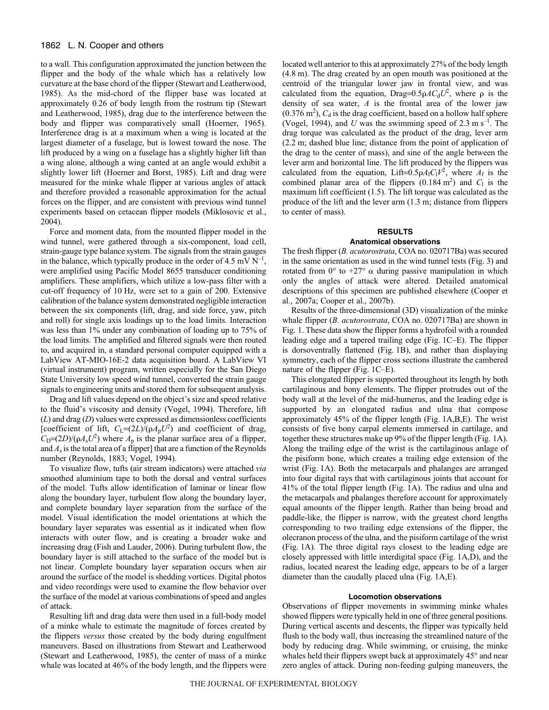## 1862 L. N. Cooper and others

to a wall. This configuration approximated the junction between the flipper and the body of the whale which has a relatively low curvature at the base chord of the flipper (Stewart and Leatherwood, 1985). As the mid-chord of the flipper base was located at approximately 0.26 of body length from the rostrum tip (Stewart and Leatherwood, 1985), drag due to the interference between the body and flipper was comparatively small (Hoerner, 1965). Interference drag is at a maximum when a wing is located at the largest diameter of a fuselage, but is lowest toward the nose. The lift produced by a wing on a fuselage has a slightly higher lift than a wing alone, although a wing canted at an angle would exhibit a slightly lower lift (Hoerner and Borst, 1985). Lift and drag were measured for the minke whale flipper at various angles of attack and therefore provided a reasonable approximation for the actual forces on the flipper, and are consistent with previous wind tunnel experiments based on cetacean flipper models (Miklosovic et al., 2004).

Force and moment data, from the mounted flipper model in the wind tunnel, were gathered through a six-component, load cell, strain-gauge type balance system. The signals from the strain gauges in the balance, which typically produce in the order of 4.5 mV  $N^{-1}$ , were amplified using Pacific Model 8655 transducer conditioning amplifiers. These amplifiers, which utilize a low-pass filter with a cut-off frequency of 10 Hz, were set to a gain of 200. Extensive calibration of the balance system demonstrated negligible interaction between the six components (lift, drag, and side force, yaw, pitch and roll) for single axis loadings up to the load limits. Interaction was less than 1% under any combination of loading up to 75% of the load limits. The amplified and filtered signals were then routed to, and acquired in, a standard personal computer equipped with a LabView AT-MIO-16E-2 data acquisition board. A LabView VI (virtual instrument) program, written especially for the San Diego State University low speed wind tunnel, converted the strain gauge signals to engineering units and stored them for subsequent analysis.

Drag and lift values depend on the object's size and speed relative to the fluid's viscosity and density (Vogel, 1994). Therefore, lift (*L*) and drag (*D*) values were expressed as dimensionless coefficients [coefficient of lift,  $C_L=(2L)/(pA_pU^2)$  and coefficient of drag,<br> $C_R=(2D)/(pA L^2)$  where A is the planar surface area of a flinner  $C_D=(2D)/(\rho A_s U^2)$  where  $A_p$  is the planar surface area of a flipper, and  $A_s$  is the total area of a flipper] that are a function of the Reynolds number (Reynolds, 1883; Vogel, 1994).

To visualize flow, tufts (air stream indicators) were attached *via* smoothed aluminium tape to both the dorsal and ventral surfaces of the model. Tufts allow identification of laminar or linear flow along the boundary layer, turbulent flow along the boundary layer, and complete boundary layer separation from the surface of the model. Visual identification the model orientations at which the boundary layer separates was essential as it indicated when flow interacts with outer flow, and is creating a broader wake and increasing drag (Fish and Lauder, 2006). During turbulent flow, the boundary layer is still attached to the surface of the model but is not linear. Complete boundary layer separation occurs when air around the surface of the model is shedding vortices. Digital photos and video recordings were used to examine the flow behavior over the surface of the model at various combinations of speed and angles of attack.

Resulting lift and drag data were then used in a full-body model of a minke whale to estimate the magnitude of forces created by the flippers *versus* those created by the body during engulfment maneuvers. Based on illustrations from Stewart and Leatherwood (Stewart and Leatherwood, 1985), the center of mass of a minke whale was located at 46% of the body length, and the flippers were located well anterior to this at approximately 27% of the body length (4.8 m). The drag created by an open mouth was positioned at the centroid of the triangular lower jaw in frontal view, and was calculated from the equation, Drag= $0.5\rho A C_d U^2$ , where  $\rho$  is the density of sea water A is the frontal area of the lower jaw density of sea water, *A* is the frontal area of the lower jaw  $(0.376 \text{ m}^2)$ ,  $C_d$  is the drag coefficient, based on a hollow half sphere<br>(Vogel 1994), and *U* was the swimming speed of 2.3 m s<sup>-1</sup>. The (Vogel, 1994), and *U* was the swimming speed of 2.3 m s<sup>-1</sup>. The drag torque was calculated as the product of the drag, lever arm (2.2 m; dashed blue line; distance from the point of application of the drag to the center of mass), and sine of the angle between the lever arm and horizontal line. The lift produced by the flippers was calculated from the equation, Lift=0.5 $\rho A_f C_1 V^2$ , where  $A_f$  is the combined planar area of the flinners (0.184 m<sup>2</sup>) and  $C_1$  is the combined planar area of the flippers  $(0.184 \text{ m}^2)$  and  $C_1$  is the maximum lift coefficient (1.5). The lift torque was calculated as the maximum lift coefficient (1.5). The lift torque was calculated as the produce of the lift and the lever arm (1.3 m; distance from flippers to center of mass).

### **RESULTS Anatomical observations**

The fresh flipper (*B. acutorostrata*, COA no. 020717Ba) was secured in the same orientation as used in the wind tunnel tests (Fig. 3) and rotated from  $0^{\circ}$  to  $+27^{\circ}$   $\alpha$  during passive manipulation in which only the angles of attack were altered. Detailed anatomical descriptions of this specimen are published elsewhere (Cooper et al., 2007a; Cooper et al., 2007b).

Results of the three-dimensional (3D) visualization of the minke whale flipper (*B. acutorostrata*, COA no. 020717Ba) are shown in Fig. 1. These data show the flipper forms a hydrofoil with a rounded leading edge and a tapered trailing edge (Fig. 1C–E). The flipper is dorsoventrally flattened (Fig. 1B), and rather than displaying symmetry, each of the flipper cross sections illustrate the cambered nature of the flipper (Fig. 1C–E).

This elongated flipper is supported throughout its length by both cartilaginous and bony elements. The flipper protrudes out of the body wall at the level of the mid-humerus, and the leading edge is supported by an elongated radius and ulna that compose approximately  $45\%$  of the flipper length (Fig. 1A,B,E). The wrist consists of five bony carpal elements immersed in cartilage, and together these structures make up 9% of the flipper length (Fig. 1A). Along the trailing edge of the wrist is the cartilaginous anlage of the pisiform bone, which creates a trailing edge extension of the wrist (Fig. 1A). Both the metacarpals and phalanges are arranged into four digital rays that with cartilaginous joints that account for 41% of the total flipper length (Fig. 1A). The radius and ulna and the metacarpals and phalanges therefore account for approximately equal amounts of the flipper length. Rather than being broad and paddle-like, the flipper is narrow, with the greatest chord lengths corresponding to two trailing edge extensions of the flipper, the olecranon process of the ulna, and the pisiform cartilage of the wrist (Fig. 1A). The three digital rays closest to the leading edge are closely appressed with little interdigital space (Fig. 1A,D), and the radius, located nearest the leading edge, appears to be of a larger diameter than the caudally placed ulna (Fig.  $1A, E$ ).

## **Locomotion observations**

Observations of flipper movements in swimming minke whales showed flippers were typically held in one of three general positions. During vertical ascents and descents, the flipper was typically held flush to the body wall, thus increasing the streamlined nature of the body by reducing drag. While swimming, or cruising, the minke whales held their flippers swept back at approximately 45° and near zero angles of attack. During non-feeding gulping maneuvers, the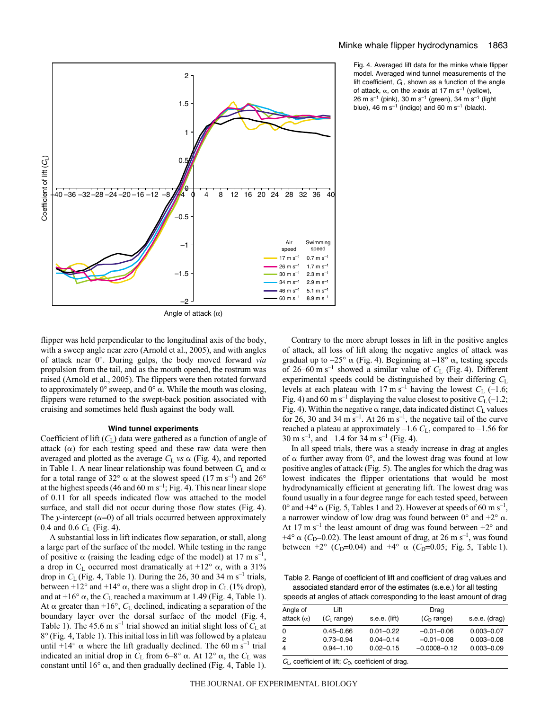

Fig. 4. Averaged lift data for the minke whale flipper model. Averaged wind tunnel measurements of the lift coefficient,  $C_L$ , shown as a function of the angle of attack,  $\alpha$ , on the x-axis at 17 m s<sup>-1</sup> (yellow),  $26 \text{ m s}^{-1}$  (pink), 30 m s<sup>-1</sup> (green), 34 m s<sup>-1</sup> (light blue), 46 m s<sup>-1</sup> (indigo) and 60 m s<sup>-1</sup> (black).



flipper was held perpendicular to the longitudinal axis of the body, with a sweep angle near zero (Arnold et al., 2005), and with angles of attack near 0°. During gulps, the body moved forward *via* propulsion from the tail, and as the mouth opened, the rostrum was raised (Arnold et al., 2005). The flippers were then rotated forward to approximately  $0^{\circ}$  sweep, and  $0^{\circ}$   $\alpha$ . While the mouth was closing, flippers were returned to the swept-back position associated with cruising and sometimes held flush against the body wall.

## **Wind tunnel experiments**

Coefficient of lift (*C*L) data were gathered as a function of angle of attack  $(\alpha)$  for each testing speed and these raw data were then averaged and plotted as the average  $C_{\rm L}$  *vs*  $\alpha$  (Fig. 4), and reported in Table 1. A near linear relationship was found between  $C_{\rm L}$  and  $\alpha$ in Table 1. A near linear relationship was found between  $C_L$  and  $\alpha$  for a total range of 32°  $\alpha$  at the slowest speed (17 m s<sup>-1</sup>) and 26° for a total range of 32 $^{\circ}$   $\alpha$  at the slowest speed (17 m s<sup>-1</sup>) and 26 $^{\circ}$ at the highest speeds (46 and 60 m s<sup>-1</sup>; Fig. 4). This near linear slope of 0.11 for all speeds indicated flow was attached to the model surface, and stall did not occur during those flow states (Fig. 4). The *y*-intercept ( $\alpha$ =0) of all trials occurred between approximately 0.4 and 0.6  $C_t$  (Fig. 4) 0.4 and 0.6  $C_{\rm L}$  (Fig. 4).

A substantial loss in lift indicates flow separation, or stall, along a large part of the surface of the model. While testing in the range of positive  $\alpha$  (raising the leading edge of the model) at 17 m s<sup>-1</sup>, a drop in C<sub>L</sub> occurred most dramatically at  $+12^{\circ}$   $\alpha$ , with a 31% drop in  $C_{\text{L}}$  (Fig. 4, Table 1). During the 26, 30 and 34 m s<sup>-1</sup> trials, between +12° and +14°  $\alpha$ , there was a slight drop in  $C_L$  (1% drop),<br>and at +16°  $\alpha$ , the *C<sub>L</sub>* reached a maximum at 1.49 (Fig. 4. Table 1) and at  $+16^{\circ}$   $\alpha$ , the *C*<sub>L</sub> reached a maximum at 1.49 (Fig. 4, Table 1).<br>At  $\alpha$  greater than  $+16^{\circ}$  *C<sub>L</sub>* declined indicating a senaration of the At  $\alpha$  greater than +16°,  $C_L$  declined, indicating a separation of the houndary layer over the dorsal surface of the model (Fig. 4) boundary layer over the dorsal surface of the model (Fig. 4, Table 1). The 45.6 m s<sup>-1</sup> trial showed an initial slight loss of  $C<sub>L</sub>$  at  $8^\circ$  (Fig. 4, Table 1). This initial loss in lift was followed by a plateau until +14°  $\alpha$  where the lift gradually declined. The 60 m s<sup>-1</sup> trial indicated an initial drop in  $C_{\rm L}$  from 6–8°  $\alpha$ . At 12°  $\alpha$ , the  $C_{\rm L}$  was<br>constant until 16°  $\alpha$  and then gradually declined (Fig. 4, Table 1) constant until 16 $^{\circ}$   $\alpha$ , and then gradually declined (Fig. 4, Table 1).

Contrary to the more abrupt losses in lift in the positive angles of attack, all loss of lift along the negative angles of attack was gradual up to  $-25^{\circ}$   $\alpha$  (Fig. 4). Beginning at  $-18^{\circ}$   $\alpha$ , testing speeds of 26–60 m s<sup>-1</sup> showed a similar value of  $C_L$  (Fig. 4). Different experimental speeds could be distinguished by their differing *C*<sup>L</sup> levels at each plateau with  $17 \text{ m s}^{-1}$  having the lowest  $C_{\text{L}}$  (-1.6; Fig. 4) and 60 m s<sup>-1</sup> displaying the value closest to positive  $C_L$  (–1.2; Fig. 4) Within the negative  $\alpha$  range data indicated distinct  $C_L$  values Fig. 4). Within the negative  $\alpha$  range, data indicated distinct  $C_L$  values<br>for 26, 30 and 34 m s<sup>-1</sup> At 26 m s<sup>-1</sup> the negative tail of the curve for 26, 30 and 34 m s<sup>-1</sup>. At 26 m s<sup>-1</sup>, the negative tail of the curve reached a plateau at approximately –1.6 *C*L, compared to –1.56 for 30 m s<sup>-1</sup>, and -1.4 for 34 m s<sup>-1</sup> (Fig. 4).

In all speed trials, there was a steady increase in drag at angles of  $\alpha$  further away from 0°, and the lowest drag was found at low positive angles of attack (Fig. 5). The angles for which the drag was lowest indicates the flipper orientations that would be most hydrodynamically efficient at generating lift. The lowest drag was found usually in a four degree range for each tested speed, between 0° and +4°  $\alpha$  (Fig. 5, Tables 1 and 2). However at speeds of 60 m s<sup>-1</sup>, a narrower window of low drag was found between  $0^{\circ}$  and  $+2^{\circ}$   $\alpha$ . At 17 m s<sup>-1</sup> the least amount of drag was found between  $+2^{\circ}$  and  $+4^{\circ}$   $\alpha$  (*C*<sub>D</sub>=0.02). The least amount of drag, at 26 m s<sup>-1</sup>, was found<br>hetween  $+2^{\circ}$  (*C*<sub>D</sub>=0.04) and  $+4^{\circ}$   $\alpha$  (*C*<sub>D</sub>=0.05; Fig. 5. Table 1) between  $+2^{\circ}$  (*C*<sub>D</sub>=0.04) and  $+4^{\circ}$   $\alpha$  (*C*<sub>D</sub>=0.05; Fig. 5, Table 1).

Table 2. Range of coefficient of lift and coefficient of drag values and associated standard error of the estimates (s.e.e.) for all testing speeds at angles of attack corresponding to the least amount of drag

| Angle of          | Lift                  |               | Drag             |                |
|-------------------|-----------------------|---------------|------------------|----------------|
| attack $(\alpha)$ | $(C_1 \text{ range})$ | s.e.e. (lift) | $(CD$ range)     | s.e.e. (drag)  |
| 0                 | $0.45 - 0.66$         | $0.01 - 0.22$ | $-0.01 - 0.06$   | $0.003 - 0.07$ |
| $\overline{2}$    | $0.73 - 0.94$         | $0.04 - 0.14$ | $-0.01 - 0.08$   | $0.003 - 0.08$ |
| $\overline{4}$    | $0.94 - 1.10$         | $0.02 - 0.15$ | $-0.0008 - 0.12$ | $0.003 - 0.09$ |
|                   |                       |               |                  |                |

 $C_{\mathsf{L}}$ , coefficient of lift;  $C_{\mathsf{D}}$ , coefficient of drag.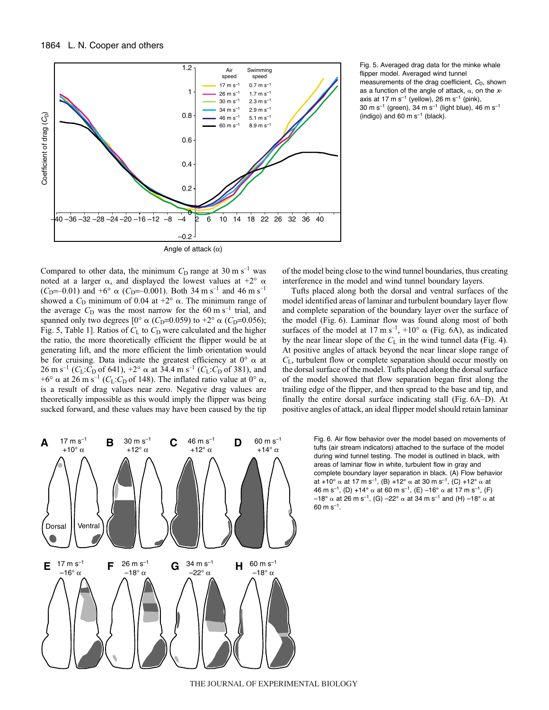

Fig. 5. Averaged drag data for the minke whale flipper model. Averaged wind tunnel measurements of the drag coefficient,  $C_D$ , shown as a function of the angle of attack,  $\alpha$ , on the xaxis at 17 m s<sup>-1</sup> (yellow), 26 m s<sup>-1</sup> (pink),  $30 \text{ m s}^{-1}$  (green),  $34 \text{ m s}^{-1}$  (light blue),  $46 \text{ m s}^{-1}$ (indigo) and 60 m  $s^{-1}$  (black).

Compared to other data, the minimum  $C_D$  range at 30 m s<sup>-1</sup> was noted at a larger  $\alpha$ , and displayed the lowest values at  $+2^{\circ} \alpha$  $(C_D=-0.01)$  and  $+6^\circ$   $\alpha$  ( $C_D=-0.001$ ). Both 34 m s<sup>-1</sup> and 46 m s<sup>-1</sup> showed a  $C_D$  minimum of 0.04 at  $+2^\circ$   $\alpha$ . The minimum range of showed a  $C_D$  minimum of 0.04 at  $+2^{\circ}$   $\alpha$ . The minimum range of the average  $C_D$  was the most narrow for the 60 m s<sup>-1</sup> trial and the average  $C_D$  was the most narrow for the 60 m s<sup>-1</sup> trial, and spanned only two degrees  $[0^{\circ} \alpha (C_{D} = 0.059)$  to  $+2^{\circ} \alpha (C_{D} = 0.056)$ ;<br>Fig. 5. Table 11. Ratios of C<sub>1</sub> to C<sub>p</sub> were calculated and the higher Fig. 5, Table 1]. Ratios of  $C_L$  to  $C_D$  were calculated and the higher the ratio, the more theoretically efficient the flipper would be at generating lift, and the more efficient the limb orientation would be for cruising. Data indicate the greatest efficiency at  $0^{\circ}$   $\alpha$  at  $26 \text{ m s}^{-1}$  (*C*<sub>L</sub>:*C*<sub>D</sub> of 641), +2°  $\alpha$  at 34.4 m s<sup>-1</sup> (*C*<sub>L</sub>:*C*<sub>D</sub> of 381), and +6°  $\alpha$  at 26 m s<sup>-1</sup> (*C*<sub>L</sub>:*C*<sub>D</sub> of 148). The inflated ratio value at 0°  $\alpha$  $+6^{\circ}$   $\alpha$  at 26 m s<sup>-1</sup> ( $C_L$ : $C_D$  of 148). The inflated ratio value at 0°  $\alpha$ , is a result of drag values near zero. Negative drag values are is a result of drag values near zero. Negative drag values are theoretically impossible as this would imply the flipper was being sucked forward, and these values may have been caused by the tip

of the model being close to the wind tunnel boundaries, thus creating interference in the model and wind tunnel boundary layers.

Tufts placed along both the dorsal and ventral surfaces of the model identified areas of laminar and turbulent boundary layer flow and complete separation of the boundary layer over the surface of the model (Fig. 6). Laminar flow was found along most of both surfaces of the model at 17 m s<sup>-1</sup>, +10°  $\alpha$  (Fig. 6A), as indicated by the near linear slope of the  $C_L$  in the wind tunnel data (Fig. 4). At positive angles of attack beyond the near linear slope range of *C*L, turbulent flow or complete separation should occur mostly on the dorsal surface of the model. Tufts placed along the dorsal surface of the model showed that flow separation began first along the trailing edge of the flipper, and then spread to the base and tip, and finally the entire dorsal surface indicating stall (Fig. 6A–D). At positive angles of attack, an ideal flipper model should retain laminar



Fig. 6. Air flow behavior over the model based on movements of tufts (air stream indicators) attached to the surface of the model during wind tunnel testing. The model is outlined in black, with areas of laminar flow in white, turbulent flow in gray and complete boundary layer separation in black. (A) Flow behavior at +10°  $\alpha$  at 17 m s<sup>–1</sup>, (B) +12°  $\alpha$  at 30 m s<sup>–1</sup>, (C) +12°  $\alpha$  at 46 m s<sup>-1</sup>, (D) +14°  $\alpha$  at 60 m s<sup>-1</sup>, (E) –16°  $\alpha$  at 17 m s<sup>-1</sup>, (F) –18°  $\alpha$  at 26 m s $^{-1}$ , (G) –22°  $\alpha$  at 34 m s $^{-1}$  and (H) –18°  $\alpha$  at  $60 \text{ m s}^{-1}$ .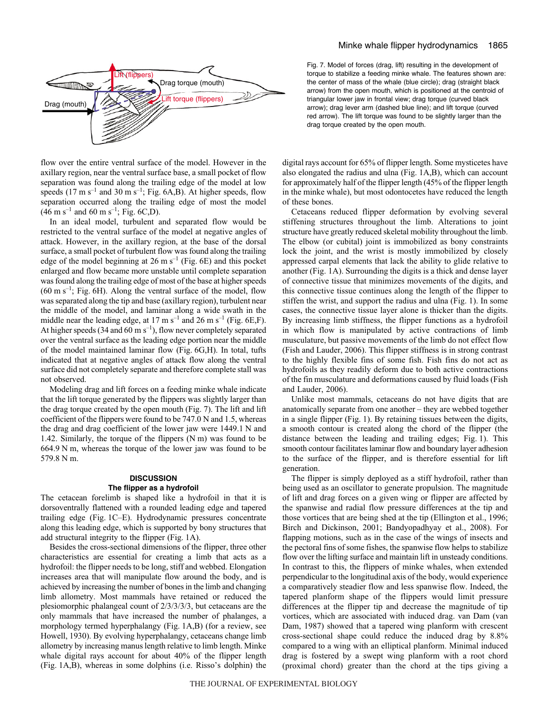

flow over the entire ventral surface of the model. However in the axillary region, near the ventral surface base, a small pocket of flow separation was found along the trailing edge of the model at low speeds (17 m s<sup>-1</sup> and 30 m s<sup>-1</sup>; Fig. 6A,B). At higher speeds, flow separation occurred along the trailing edge of most the model  $(46 \text{ m s}^{-1} \text{ and } 60 \text{ m s}^{-1}; \text{Fig. 6C,D}).$ 

In an ideal model, turbulent and separated flow would be restricted to the ventral surface of the model at negative angles of attack. However, in the axillary region, at the base of the dorsal surface, a small pocket of turbulent flow was found along the trailing edge of the model beginning at 26 m s<sup>-1</sup> (Fig. 6E) and this pocket enlarged and flow became more unstable until complete separation was found along the trailing edge of most of the base at higher speeds  $(60 \text{ m s}^{-1}$ ; Fig. 6H). Along the ventral surface of the model, flow was separated along the tip and base (axillary region), turbulent near the middle of the model, and laminar along a wide swath in the middle near the leading edge, at 17 m s<sup>-1</sup> and 26 m s<sup>-1</sup> (Fig. 6E,F). At higher speeds (34 and 60 m s<sup>-1</sup>), flow never completely separated over the ventral surface as the leading edge portion near the middle of the model maintained laminar flow (Fig. 6G,H). In total, tufts indicated that at negative angles of attack flow along the ventral surface did not completely separate and therefore complete stall was not observed.

Modeling drag and lift forces on a feeding minke whale indicate that the lift torque generated by the flippers was slightly larger than the drag torque created by the open mouth (Fig. 7). The lift and lift coefficient of the flippers were found to be  $747.0 \text{ N}$  and 1.5, whereas the drag and drag coefficient of the lower jaw were 1449.1 N and 1.42. Similarly, the torque of the flippers  $(Nm)$  was found to be  $664.9$  N m, whereas the torque of the lower jaw was found to be 579.8 N m.

## **DISCUSSION The flipper as a hydrofoil**

The cetacean forelimb is shaped like a hydrofoil in that it is dorsoventrally flattened with a rounded leading edge and tapered trailing edge (Fig. 1C–E). Hydrodynamic pressures concentrate along this leading edge, which is supported by bony structures that add structural integrity to the flipper (Fig. 1A).

Besides the cross-sectional dimensions of the flipper, three other characteristics are essential for creating a limb that acts as a hydrofoil: the flipper needs to be long, stiff and webbed. Elongation increases area that will manipulate flow around the body, and is achieved by increasing the number of bones in the limb and changing limb allometry. Most mammals have retained or reduced the plesiomorphic phalangeal count of 2/3/3/3/3, but cetaceans are the only mammals that have increased the number of phalanges, a morphology termed hyperphalangy (Fig. 1A,B) (for a review, see Howell, 1930). By evolving hyperphalangy, cetaceans change limb allometry by increasing manus length relative to limb length. Minke whale digital rays account for about 40% of the flipper length (Fig. 1A,B), whereas in some dolphins (i.e. Risso's dolphin) the Fig. 7. Model of forces (drag, lift) resulting in the development of torque to stabilize a feeding minke whale. The features shown are: the center of mass of the whale (blue circle); drag (straight black arrow) from the open mouth, which is positioned at the centroid of triangular lower jaw in frontal view; drag torque (curved black arrow); drag lever arm (dashed blue line); and lift torque (curved red arrow). The lift torque was found to be slightly larger than the drag torque created by the open mouth.

digital rays account for 65% of flipper length. Some mysticetes have also elongated the radius and ulna (Fig.  $1A,B$ ), which can account for approximately half of the flipper length (45% of the flipper length in the minke whale), but most odontocetes have reduced the length of these bones.

Cetaceans reduced flipper deformation by evolving several stiffening structures throughout the limb. Alterations to joint structure have greatly reduced skeletal mobility throughout the limb. The elbow (or cubital) joint is immobilized as bony constraints lock the joint, and the wrist is mostly immobilized by closely appressed carpal elements that lack the ability to glide relative to another (Fig. 1A). Surrounding the digits is a thick and dense layer of connective tissue that minimizes movements of the digits, and this connective tissue continues along the length of the flipper to stiffen the wrist, and support the radius and ulna (Fig. 1). In some cases, the connective tissue layer alone is thicker than the digits. By increasing limb stiffness, the flipper functions as a hydrofoil in which flow is manipulated by active contractions of limb musculature, but passive movements of the limb do not effect flow (Fish and Lauder, 2006). This flipper stiffness is in strong contrast to the highly flexible fins of some fish. Fish fins do not act as hydrofoils as they readily deform due to both active contractions of the fin musculature and deformations caused by fluid loads (Fish and Lauder, 2006).

Unlike most mammals, cetaceans do not have digits that are anatomically separate from one another – they are webbed together in a single flipper (Fig. 1). By retaining tissues between the digits, a smooth contour is created along the chord of the flipper (the distance between the leading and trailing edges; Fig. 1). This smooth contour facilitates laminar flow and boundary layer adhesion to the surface of the flipper, and is therefore essential for lift generation.

The flipper is simply deployed as a stiff hydrofoil, rather than being used as an oscillator to generate propulsion. The magnitude of lift and drag forces on a given wing or flipper are affected by the spanwise and radial flow pressure differences at the tip and those vortices that are being shed at the tip (Ellington et al., 1996; Birch and Dickinson, 2001; Bandyopadhyay et al., 2008). For flapping motions, such as in the case of the wings of insects and the pectoral fins of some fishes, the spanwise flow helps to stabilize flow over the lifting surface and maintain lift in unsteady conditions. In contrast to this, the flippers of minke whales, when extended perpendicular to the longitudinal axis of the body, would experience a comparatively steadier flow and less spanwise flow. Indeed, the tapered planform shape of the flippers would limit pressure differences at the flipper tip and decrease the magnitude of tip vortices, which are associated with induced drag. van Dam (van Dam, 1987) showed that a tapered wing planform with crescent cross-sectional shape could reduce the induced drag by 8.8% compared to a wing with an elliptical planform. Minimal induced drag is fostered by a swept wing planform with a root chord (proximal chord) greater than the chord at the tips giving a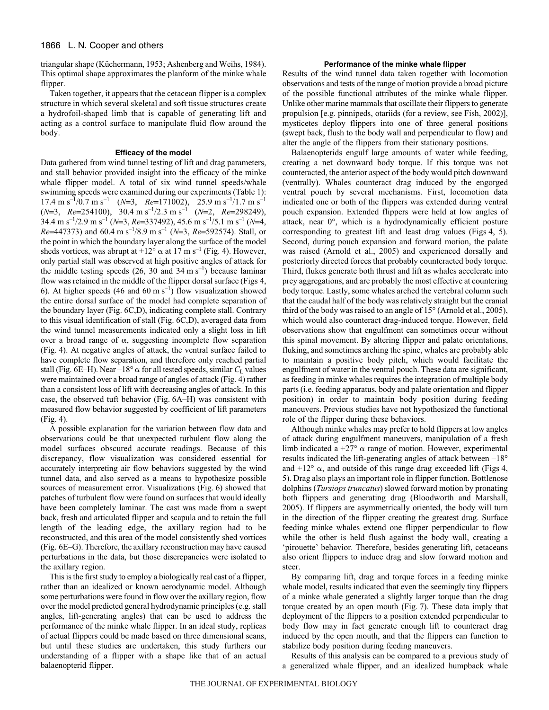triangular shape (Küchermann, 1953; Ashenberg and Weihs, 1984). This optimal shape approximates the planform of the minke whale flipper.

Taken together, it appears that the cetacean flipper is a complex structure in which several skeletal and soft tissue structures create a hydrofoil-shaped limb that is capable of generating lift and acting as a control surface to manipulate fluid flow around the body.

#### **Efficacy of the model**

Data gathered from wind tunnel testing of lift and drag parameters, and stall behavior provided insight into the efficacy of the minke whale flipper model. A total of six wind tunnel speeds/whale swimming speeds were examined during our experiments (Table 1): 17.4 m s<sup>-1</sup>/0.7 m s<sup>-1</sup> (*N*=3, *Re*=171002), 25.9 m s<sup>-1</sup>/1.7 m s<sup>-1</sup>  $(N=3, \quad Re=254100), \quad 30.4 \text{ m s}^{-1}/2.3 \text{ m s}^{-1} \quad (N=2, \quad Re=298249),$  $34.4 \text{ m s}^{-1}/2.9 \text{ m s}^{-1}$  (*N*=3, *Re*=337492), 45.6 m s<sup>-1</sup>/5.1 m s<sup>-1</sup> (*N*=4, *Re*=447373) and 60.4 m s<sup>-1</sup>/8.9 m s<sup>-1</sup> (*N*=3, *Re*=592574). Stall, or the point in which the boundary layer along the surface of the model sheds vortices, was abrupt at  $+12^{\circ}$   $\alpha$  at 17 m s<sup>-1</sup> (Fig. 4). However, only partial stall was observed at high positive angles of attack for the middle testing speeds (26, 30 and 34 m s<sup>-1</sup>) because laminar flow was retained in the middle of the flipper dorsal surface (Figs 4, 6). At higher speeds (46 and 60 m s<sup>-1</sup>) flow visualization showed the entire dorsal surface of the model had complete separation of the boundary layer (Fig. 6C,D), indicating complete stall. Contrary to this visual identification of stall (Fig. 6C,D), averaged data from the wind tunnel measurements indicated only a slight loss in lift over a broad range of  $\alpha$ , suggesting incomplete flow separation (Fig. 4). At negative angles of attack, the ventral surface failed to have complete flow separation, and therefore only reached partial  $\text{stall (Fig. 6E–H)}. \text{ Near } -18^{\circ} \alpha \text{ for all tested speeds, similar } C_{\text{L}} \text{ values}$ <br>were maintained over a broad range of angles of attack (Fig. 4) rather were maintained over a broad range of angles of attack (Fig. 4) rather than a consistent loss of lift with decreasing angles of attack. In this case, the observed tuft behavior (Fig. 6A–H) was consistent with measured flow behavior suggested by coefficient of lift parameters  $(Fig. 4)$ .

A possible explanation for the variation between flow data and observations could be that unexpected turbulent flow along the model surfaces obscured accurate readings. Because of this discrepancy, flow visualization was considered essential for accurately interpreting air flow behaviors suggested by the wind tunnel data, and also served as a means to hypothesize possible sources of measurement error. Visualizations (Fig. 6) showed that patches of turbulent flow were found on surfaces that would ideally have been completely laminar. The cast was made from a swept back, fresh and articulated flipper and scapula and to retain the full length of the leading edge, the axillary region had to be reconstructed, and this area of the model consistently shed vortices (Fig. 6E–G). Therefore, the axillary reconstruction may have caused perturbations in the data, but those discrepancies were isolated to the axillary region.

This is the first study to employ a biologically real cast of a flipper, rather than an idealized or known aerodynamic model. Although some perturbations were found in flow over the axillary region, flow over the model predicted general hydrodynamic principles (e.g. stall angles, lift-generating angles) that can be used to address the performance of the minke whale flipper. In an ideal study, replicas of actual flippers could be made based on three dimensional scans, but until these studies are undertaken, this study furthers our understanding of a flipper with a shape like that of an actual balaenopterid flipper.

## **Performance of the minke whale flipper**

Results of the wind tunnel data taken together with locomotion observations and tests of the range of motion provide a broad picture of the possible functional attributes of the minke whale flipper. Unlike other marine mammals that oscillate their flippers to generate propulsion [e.g. pinnipeds, otariids (for a review, see Fish, 2002)], mysticetes deploy flippers into one of three general positions (swept back, flush to the body wall and perpendicular to flow) and alter the angle of the flippers from their stationary positions.

Balaenopterids engulf large amounts of water while feeding, creating a net downward body torque. If this torque was not counteracted, the anterior aspect of the body would pitch downward (ventrally). Whales counteract drag induced by the engorged ventral pouch by several mechanisms. First, locomotion data indicated one or both of the flippers was extended during ventral pouch expansion. Extended flippers were held at low angles of attack, near 0°, which is a hydrodynamically efficient posture corresponding to greatest lift and least drag values (Figs 4, 5). Second, during pouch expansion and forward motion, the palate was raised (Arnold et al., 2005) and experienced dorsally and posteriorly directed forces that probably counteracted body torque. Third, flukes generate both thrust and lift as whales accelerate into prey aggregations, and are probably the most effective at countering body torque. Lastly, some whales arched the vertebral column such that the caudal half of the body was relatively straight but the cranial third of the body was raised to an angle of 15° (Arnold et al., 2005), which would also counteract drag-induced torque. However, field observations show that engulfment can sometimes occur without this spinal movement. By altering flipper and palate orientations, fluking, and sometimes arching the spine, whales are probably able to maintain a positive body pitch, which would facilitate the engulfment of water in the ventral pouch. These data are significant, as feeding in minke whales requires the integration of multiple body parts (i.e. feeding apparatus, body and palate orientation and flipper position) in order to maintain body position during feeding maneuvers. Previous studies have not hypothesized the functional role of the flipper during these behaviors.

Although minke whales may prefer to hold flippers at low angles of attack during engulfment maneuvers, manipulation of a fresh limb indicated a  $+27^{\circ}$   $\alpha$  range of motion. However, experimental results indicated the lift-generating angles of attack between –18° and  $+12^{\circ}$   $\alpha$ , and outside of this range drag exceeded lift (Figs 4, 5). Drag also plays an important role in flipper function. Bottlenose dolphins (*Tursiops truncatus*) slowed forward motion by pronating both flippers and generating drag (Bloodworth and Marshall, 2005). If flippers are asymmetrically oriented, the body will turn in the direction of the flipper creating the greatest drag. Surface feeding minke whales extend one flipper perpendicular to flow while the other is held flush against the body wall, creating a 'pirouette' behavior. Therefore, besides generating lift, cetaceans also orient flippers to induce drag and slow forward motion and steer.

By comparing lift, drag and torque forces in a feeding minke whale model, results indicated that even the seemingly tiny flippers of a minke whale generated a slightly larger torque than the drag torque created by an open mouth (Fig. 7). These data imply that deployment of the flippers to a position extended perpendicular to body flow may in fact generate enough lift to counteract drag induced by the open mouth, and that the flippers can function to stabilize body position during feeding maneuvers.

Results of this analysis can be compared to a previous study of a generalized whale flipper, and an idealized humpback whale